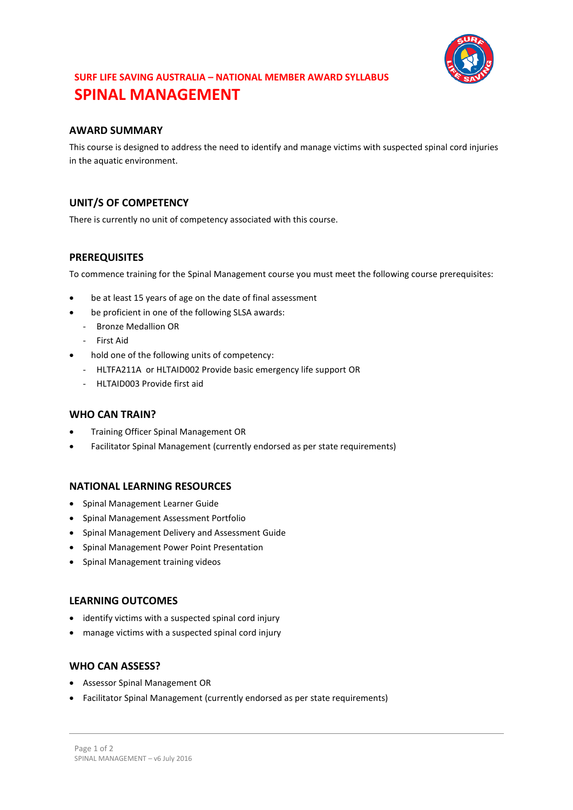

# **SURF LIFE SAVING AUSTRALIA – NATIONAL MEMBER AWARD SYLLABUS SPINAL MANAGEMENT**

## **AWARD SUMMARY**

This course is designed to address the need to identify and manage victims with suspected spinal cord injuries in the aquatic environment.

# **UNIT/S OF COMPETENCY**

There is currently no unit of competency associated with this course.

#### **PREREQUISITES**

To commence training for the Spinal Management course you must meet the following course prerequisites:

- be at least 15 years of age on the date of final assessment
- be proficient in one of the following SLSA awards:
	- Bronze Medallion OR
	- First Aid
- hold one of the following units of competency:
	- HLTFA211A or HLTAID002 Provide basic emergency life support OR
	- HLTAID003 Provide first aid

#### **WHO CAN TRAIN?**

- Training Officer Spinal Management OR
- Facilitator Spinal Management (currently endorsed as per state requirements)

#### **NATIONAL LEARNING RESOURCES**

- Spinal Management Learner Guide
- Spinal Management Assessment Portfolio
- Spinal Management Delivery and Assessment Guide
- Spinal Management Power Point Presentation
- Spinal Management training videos

#### **LEARNING OUTCOMES**

- identify victims with a suspected spinal cord injury
- manage victims with a suspected spinal cord injury

#### **WHO CAN ASSESS?**

- Assessor Spinal Management OR
- Facilitator Spinal Management (currently endorsed as per state requirements)